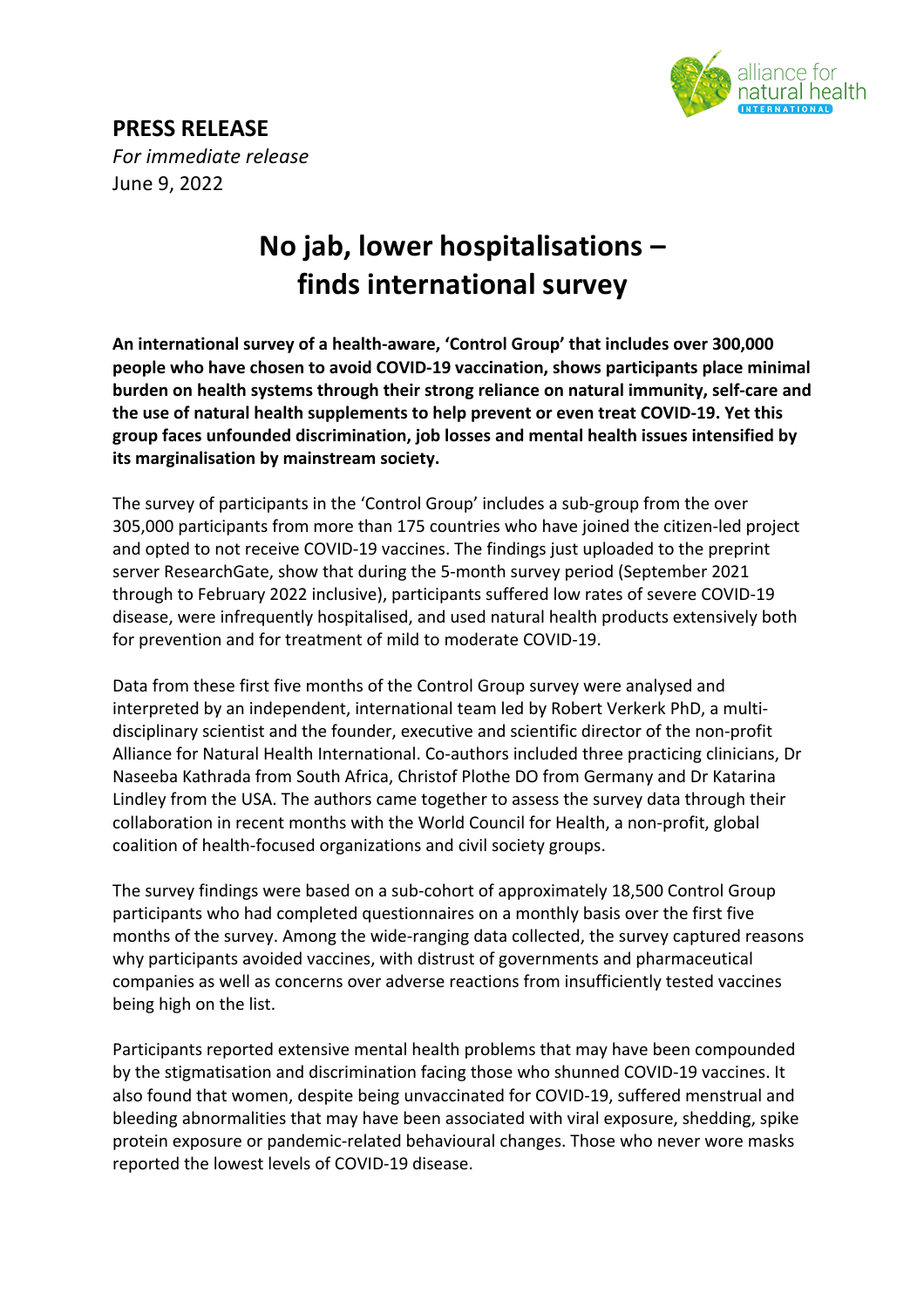

## **PRESS RELEASE**

*For immediate release* June 9, 2022

# **No jab, lower hospitalisations – finds international survey**

**An international survey of a health-aware, 'Control Group' that includes over 300,000 people who have chosen to avoid COVID-19 vaccination, shows participants place minimal burden on health systems through their strong reliance on natural immunity, self-care and the use of natural health supplements to help prevent or even treat COVID-19. Yet this group faces unfounded discrimination, job losses and mental health issues intensified by its marginalisation by mainstream society.** 

The survey of participants in the 'Control Group' includes a sub-group from the over 305,000 participants from more than 175 countries who have joined the citizen-led project and opted to not receive COVID-19 vaccines. The findings just uploaded to the preprint server ResearchGate, show that during the 5-month survey period (September 2021 through to February 2022 inclusive), participants suffered low rates of severe COVID-19 disease, were infrequently hospitalised, and used natural health products extensively both for prevention and for treatment of mild to moderate COVID-19.

Data from these first five months of the Control Group survey were analysed and interpreted by an independent, international team led by Robert Verkerk PhD, a multidisciplinary scientist and the founder, executive and scientific director of the non-profit Alliance for Natural Health International. Co-authors included three practicing clinicians, Dr Naseeba Kathrada from South Africa, Christof Plothe DO from Germany and Dr Katarina Lindley from the USA. The authors came together to assess the survey data through their collaboration in recent months with the World Council for Health, a non-profit, global coalition of health-focused organizations and civil society groups.

The survey findings were based on a sub-cohort of approximately 18,500 Control Group participants who had completed questionnaires on a monthly basis over the first five months of the survey. Among the wide-ranging data collected, the survey captured reasons why participants avoided vaccines, with distrust of governments and pharmaceutical companies as well as concerns over adverse reactions from insufficiently tested vaccines being high on the list.

Participants reported extensive mental health problems that may have been compounded by the stigmatisation and discrimination facing those who shunned COVID-19 vaccines. It also found that women, despite being unvaccinated for COVID-19, suffered menstrual and bleeding abnormalities that may have been associated with viral exposure, shedding, spike protein exposure or pandemic-related behavioural changes. Those who never wore masks reported the lowest levels of COVID-19 disease.